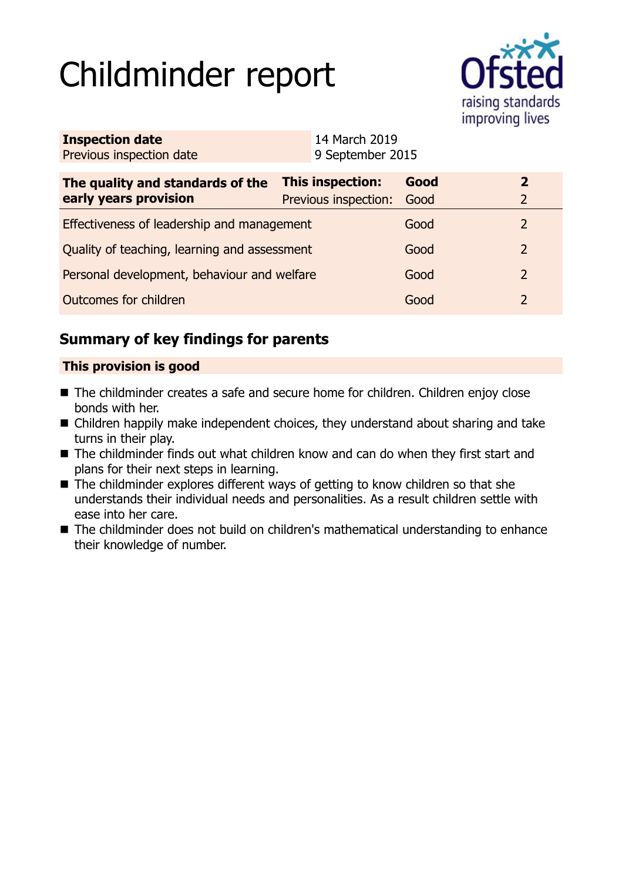# Childminder report



| <b>Inspection date</b>   | 14 March 2019    |
|--------------------------|------------------|
| Previous inspection date | 9 September 2015 |

| The quality and standards of the<br>early years provision | <b>This inspection:</b><br>Previous inspection: | Good<br>Good |  |
|-----------------------------------------------------------|-------------------------------------------------|--------------|--|
| Effectiveness of leadership and management                |                                                 | Good         |  |
| Quality of teaching, learning and assessment              |                                                 | Good         |  |
| Personal development, behaviour and welfare               |                                                 | Good         |  |
| Outcomes for children                                     |                                                 | Good         |  |

# **Summary of key findings for parents**

## **This provision is good**

- The childminder creates a safe and secure home for children. Children enjoy close bonds with her.
- Children happily make independent choices, they understand about sharing and take turns in their play.
- The childminder finds out what children know and can do when they first start and plans for their next steps in learning.
- $\blacksquare$  The childminder explores different ways of getting to know children so that she understands their individual needs and personalities. As a result children settle with ease into her care.
- The childminder does not build on children's mathematical understanding to enhance their knowledge of number.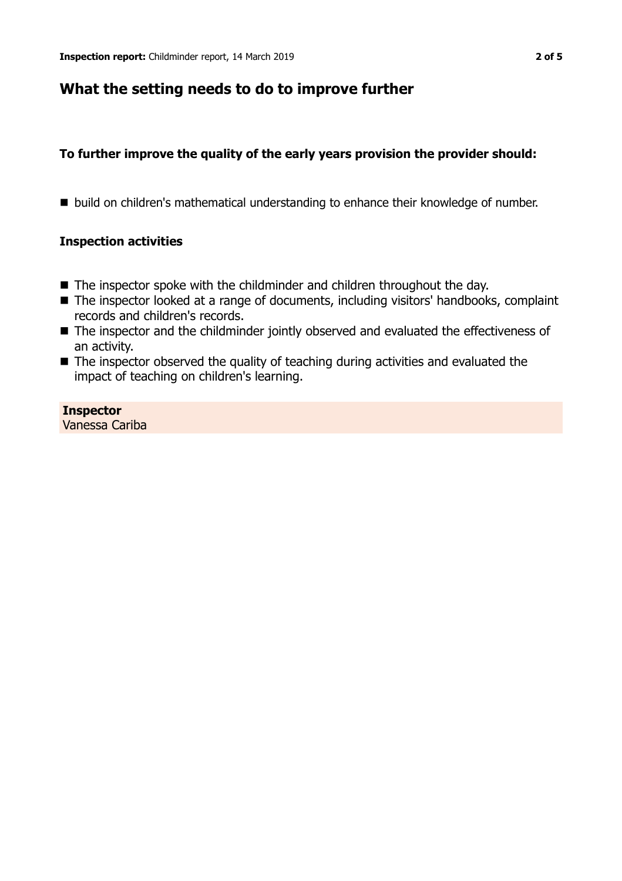## **What the setting needs to do to improve further**

## **To further improve the quality of the early years provision the provider should:**

■ build on children's mathematical understanding to enhance their knowledge of number.

## **Inspection activities**

- $\blacksquare$  The inspector spoke with the childminder and children throughout the day.
- The inspector looked at a range of documents, including visitors' handbooks, complaint records and children's records.
- The inspector and the childminder jointly observed and evaluated the effectiveness of an activity.
- $\blacksquare$  The inspector observed the quality of teaching during activities and evaluated the impact of teaching on children's learning.

#### **Inspector** Vanessa Cariba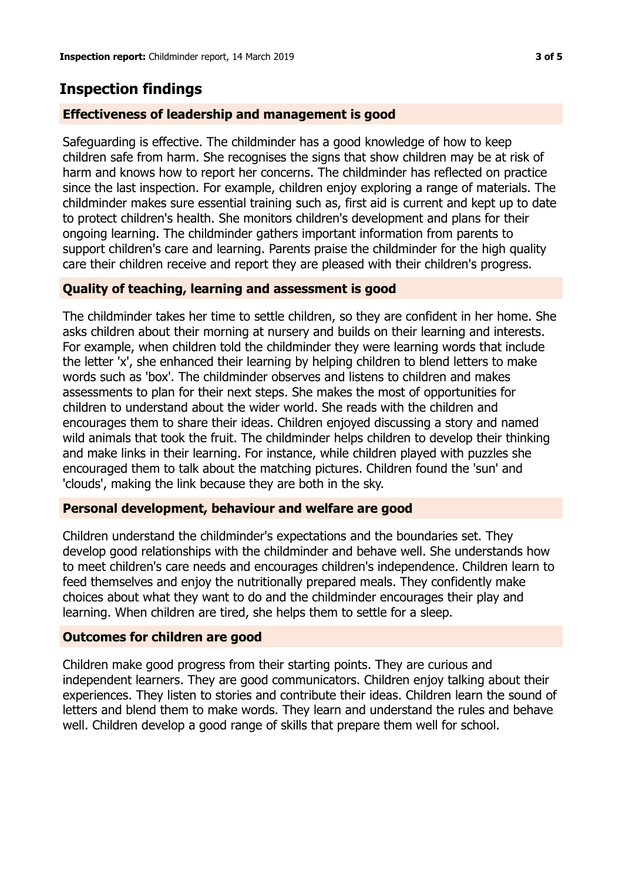## **Inspection findings**

### **Effectiveness of leadership and management is good**

Safeguarding is effective. The childminder has a good knowledge of how to keep children safe from harm. She recognises the signs that show children may be at risk of harm and knows how to report her concerns. The childminder has reflected on practice since the last inspection. For example, children enjoy exploring a range of materials. The childminder makes sure essential training such as, first aid is current and kept up to date to protect children's health. She monitors children's development and plans for their ongoing learning. The childminder gathers important information from parents to support children's care and learning. Parents praise the childminder for the high quality care their children receive and report they are pleased with their children's progress.

#### **Quality of teaching, learning and assessment is good**

The childminder takes her time to settle children, so they are confident in her home. She asks children about their morning at nursery and builds on their learning and interests. For example, when children told the childminder they were learning words that include the letter 'x', she enhanced their learning by helping children to blend letters to make words such as 'box'. The childminder observes and listens to children and makes assessments to plan for their next steps. She makes the most of opportunities for children to understand about the wider world. She reads with the children and encourages them to share their ideas. Children enjoyed discussing a story and named wild animals that took the fruit. The childminder helps children to develop their thinking and make links in their learning. For instance, while children played with puzzles she encouraged them to talk about the matching pictures. Children found the 'sun' and 'clouds', making the link because they are both in the sky.

#### **Personal development, behaviour and welfare are good**

Children understand the childminder's expectations and the boundaries set. They develop good relationships with the childminder and behave well. She understands how to meet children's care needs and encourages children's independence. Children learn to feed themselves and enjoy the nutritionally prepared meals. They confidently make choices about what they want to do and the childminder encourages their play and learning. When children are tired, she helps them to settle for a sleep.

#### **Outcomes for children are good**

Children make good progress from their starting points. They are curious and independent learners. They are good communicators. Children enjoy talking about their experiences. They listen to stories and contribute their ideas. Children learn the sound of letters and blend them to make words. They learn and understand the rules and behave well. Children develop a good range of skills that prepare them well for school.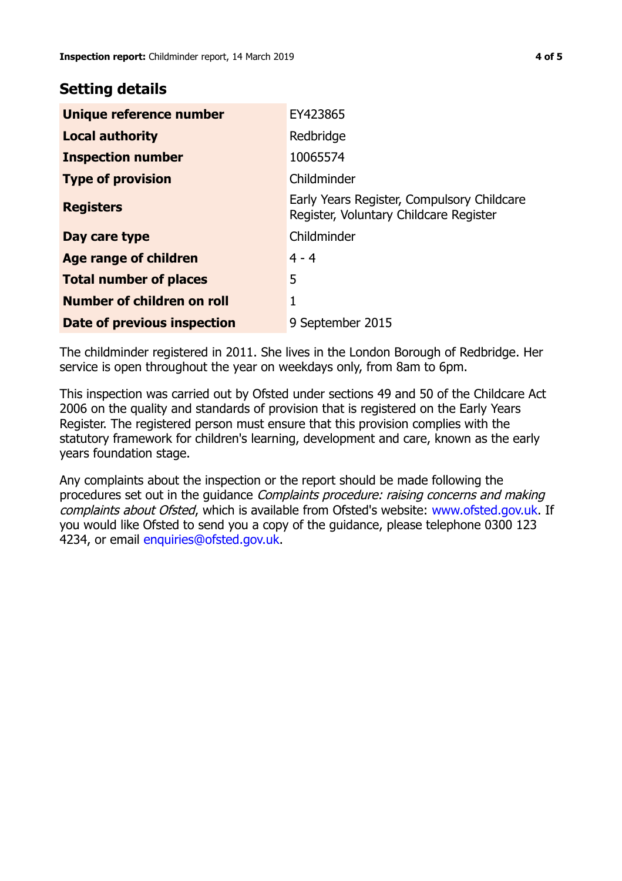## **Setting details**

| Unique reference number           | EY423865                                                                             |
|-----------------------------------|--------------------------------------------------------------------------------------|
| <b>Local authority</b>            | Redbridge                                                                            |
| <b>Inspection number</b>          | 10065574                                                                             |
| <b>Type of provision</b>          | Childminder                                                                          |
| <b>Registers</b>                  | Early Years Register, Compulsory Childcare<br>Register, Voluntary Childcare Register |
| Day care type                     | Childminder                                                                          |
| Age range of children             | $4 - 4$                                                                              |
| <b>Total number of places</b>     | 5                                                                                    |
| <b>Number of children on roll</b> | 1                                                                                    |
| Date of previous inspection       | 9 September 2015                                                                     |

The childminder registered in 2011. She lives in the London Borough of Redbridge. Her service is open throughout the year on weekdays only, from 8am to 6pm.

This inspection was carried out by Ofsted under sections 49 and 50 of the Childcare Act 2006 on the quality and standards of provision that is registered on the Early Years Register. The registered person must ensure that this provision complies with the statutory framework for children's learning, development and care, known as the early years foundation stage.

Any complaints about the inspection or the report should be made following the procedures set out in the guidance Complaints procedure: raising concerns and making complaints about Ofsted, which is available from Ofsted's website: www.ofsted.gov.uk. If you would like Ofsted to send you a copy of the guidance, please telephone 0300 123 4234, or email [enquiries@ofsted.gov.uk.](mailto:enquiries@ofsted.gov.uk)